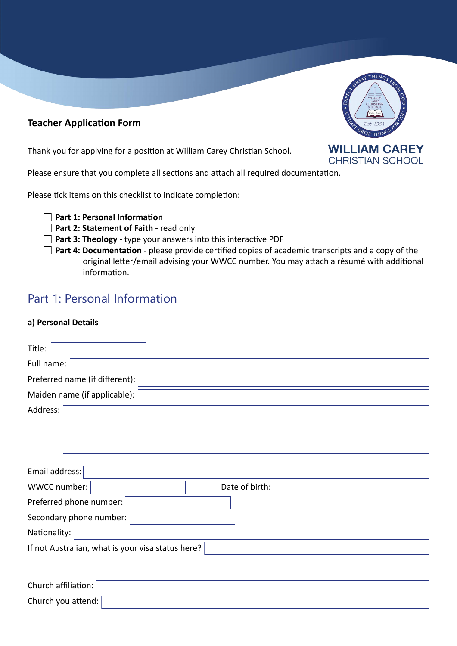# **Teacher Application Form**

Thank you for applying for a position at William Carey Christian School.



 $THI$ 

Please ensure that you complete all sections and attach all required documentation.

Please tick items on this checklist to indicate completion:

|  |  |  |  | $\Box$ Part 1: Personal Information |
|--|--|--|--|-------------------------------------|
|--|--|--|--|-------------------------------------|

- **Part 2: Statement of Faith read only**
- **Part 3: Theology**  type your answers into this interactive PDF
- **Part 4: Documentation** please provide certified copies of academic transcripts and a copy of the original letter/email advising your WWCC number. You may attach a résumé with additional information.

# Part 1: Personal Information

# **a) Personal Details**

| Title:                                            |                |  |  |  |
|---------------------------------------------------|----------------|--|--|--|
| Full name:                                        |                |  |  |  |
| Preferred name (if different):                    |                |  |  |  |
| Maiden name (if applicable):                      |                |  |  |  |
| Address:                                          |                |  |  |  |
| Email address:                                    |                |  |  |  |
| WWCC number:                                      | Date of birth: |  |  |  |
| Preferred phone number:                           |                |  |  |  |
| Secondary phone number:                           |                |  |  |  |
| Nationality:                                      |                |  |  |  |
| If not Australian, what is your visa status here? |                |  |  |  |
|                                                   |                |  |  |  |

| Church affiliation: |  |
|---------------------|--|
| Church you attend:  |  |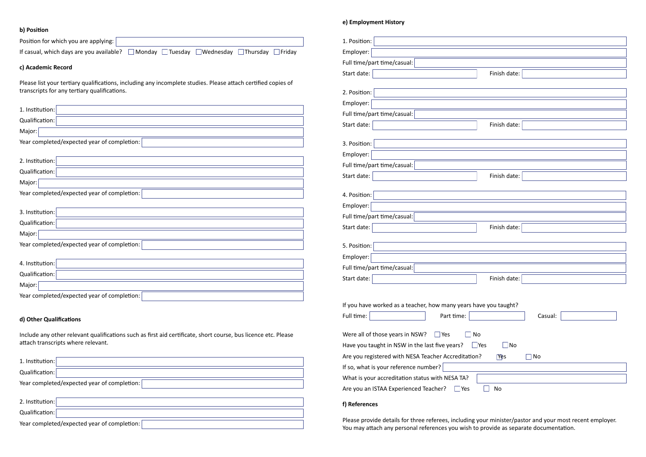# **b) Position**

| Position for which you are applying:                                                                          |
|---------------------------------------------------------------------------------------------------------------|
| If casual, which days are you available?<br>Monday<br>Tuesday<br>Wednesday<br>Thursday<br>Friday              |
| c) Academic Record                                                                                            |
| Please list your tertiary qualifications, including any incomplete studies. Please attach certified copies of |
| transcripts for any tertiary qualifications.                                                                  |
|                                                                                                               |
| 1. Institution:                                                                                               |
| Qualification:                                                                                                |
| Major:                                                                                                        |
| Year completed/expected year of completion:                                                                   |
|                                                                                                               |
| 2. Institution:                                                                                               |
| Qualification:                                                                                                |
| Major:                                                                                                        |

Year completed/expected year of completion:

| 1. Position:                                                            |                   |  |  |  |
|-------------------------------------------------------------------------|-------------------|--|--|--|
| Employer:                                                               |                   |  |  |  |
| Full time/part time/casual:                                             |                   |  |  |  |
| Start date:                                                             | Finish date:      |  |  |  |
|                                                                         |                   |  |  |  |
| 2. Position:                                                            |                   |  |  |  |
| Employer:                                                               |                   |  |  |  |
| Full time/part time/casual:                                             |                   |  |  |  |
| Start date:                                                             | Finish date:      |  |  |  |
|                                                                         |                   |  |  |  |
| 3. Position:                                                            |                   |  |  |  |
| Employer:                                                               |                   |  |  |  |
| Full time/part time/casual:                                             |                   |  |  |  |
| Start date:                                                             | Finish date:      |  |  |  |
| 4. Position:                                                            |                   |  |  |  |
| Employer:                                                               |                   |  |  |  |
| Full time/part time/casual:                                             |                   |  |  |  |
| Start date:                                                             | Finish date:      |  |  |  |
|                                                                         |                   |  |  |  |
| 5. Position:                                                            |                   |  |  |  |
| Employer:                                                               |                   |  |  |  |
| Full time/part time/casual:                                             |                   |  |  |  |
| Start date:                                                             | г<br>Finish date: |  |  |  |
|                                                                         |                   |  |  |  |
| If you have worked as a teacher, how many years have you taught?        |                   |  |  |  |
| Full time:<br>Part time:                                                | Casual:           |  |  |  |
|                                                                         |                   |  |  |  |
| Were all of those years in NSW?<br>Yes                                  | No                |  |  |  |
| Have you taught in NSW in the last five years?<br>∫No<br>$\Box$ Yes     |                   |  |  |  |
| Are you registered with NESA Teacher Accreditation?<br><b>Yes</b><br>No |                   |  |  |  |
| If so, what is your reference number?                                   |                   |  |  |  |
| What is your accreditation status with NESA TA?                         |                   |  |  |  |
| Are you an ISTAA Experienced Teacher?<br>Yes                            | No                |  |  |  |
|                                                                         |                   |  |  |  |

| 3. Institution:                             |
|---------------------------------------------|
| Qualification:                              |
| Major:                                      |
| Year completed/expected year of completion: |
|                                             |
| 4. Institution:                             |
| Qualification:                              |
| Major:                                      |

Year completed/expected year of completion:  $\lceil$ 

# **d) Other Qualifications**

Include any other relevant qualifications such as first aid certificate, short course, bus licence etc. Please attach transcripts where relevant.

| 1. Institution:                             |  |
|---------------------------------------------|--|
| Qualification:                              |  |
| Year completed/expected year of completion: |  |
|                                             |  |
| 2. Institution:                             |  |
| Qualification:                              |  |
| Year completed/expected year of completion: |  |

## **e) Employment History**

#### **f) References**

Please provide details for three referees, including your minister/pastor and your most recent employer. You may attach any personal references you wish to provide as separate documentation.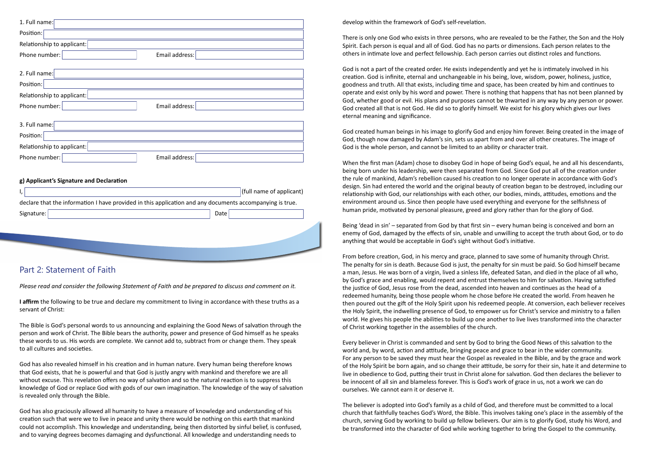| 1. Full name:                                                                                            |
|----------------------------------------------------------------------------------------------------------|
| Position:                                                                                                |
| Relationship to applicant:                                                                               |
| Phone number:<br>Email address:                                                                          |
|                                                                                                          |
| 2. Full name:                                                                                            |
| Position:                                                                                                |
| Relationship to applicant:                                                                               |
| Phone number:<br>Email address:                                                                          |
|                                                                                                          |
| 3. Full name:                                                                                            |
| Position:                                                                                                |
| Relationship to applicant:                                                                               |
| Phone number:<br>Email address:                                                                          |
|                                                                                                          |
| g) Applicant's Signature and Declaration                                                                 |
| (full name of applicant)                                                                                 |
| declare that the information I have provided in this application and any documents accompanying is true. |
| Signature:<br>Date                                                                                       |
|                                                                                                          |
|                                                                                                          |
|                                                                                                          |
|                                                                                                          |
|                                                                                                          |

# Part 2: Statement of Faith

*Please read and consider the following Statement of Faith and be prepared to discuss and comment on it.*

**I affirm** the following to be true and declare my commitment to living in accordance with these truths as a servant of Christ:

The Bible is God's personal words to us announcing and explaining the Good News of salvation through the person and work of Christ. The Bible bears the authority, power and presence of God himself as he speaks these words to us. His words are complete. We cannot add to, subtract from or change them. They speak to all cultures and societies.

God has also revealed himself in his creation and in human nature. Every human being therefore knows that God exists, that he is powerful and that God is justly angry with mankind and therefore we are all without excuse. This revelation offers no way of salvation and so the natural reaction is to suppress this knowledge of God or replace God with gods of our own imagination. The knowledge of the way of salvation is revealed only through the Bible.

God has also graciously allowed all humanity to have a measure of knowledge and understanding of his creation such that were we to live in peace and unity there would be nothing on this earth that mankind could not accomplish. This knowledge and understanding, being then distorted by sinful belief, is confused, and to varying degrees becomes damaging and dysfunctional. All knowledge and understanding needs to

develop within the framework of God's self-revelation.

There is only one God who exists in three persons, who are revealed to be the Father, the Son and the Holy Spirit. Each person is equal and all of God. God has no parts or dimensions. Each person relates to the others in intimate love and perfect fellowship. Each person carries out distinct roles and functions.

God is not a part of the created order. He exists independently and yet he is intimately involved in his creation. God is infinite, eternal and unchangeable in his being, love, wisdom, power, holiness, justice, goodness and truth. All that exists, including time and space, has been created by him and continues to operate and exist only by his word and power. There is nothing that happens that has not been planned by God, whether good or evil. His plans and purposes cannot be thwarted in any way by any person or power. God created all that is not God. He did so to glorify himself. We exist for his glory which gives our lives eternal meaning and significance.

God created human beings in his image to glorify God and enjoy him forever. Being created in the image of God, though now damaged by Adam's sin, sets us apart from and over all other creatures. The image of God is the whole person, and cannot be limited to an ability or character trait.

When the first man (Adam) chose to disobey God in hope of being God's equal, he and all his descendants, being born under his leadership, were then separated from God. Since God put all of the creation under the rule of mankind, Adam's rebellion caused his creation to no longer operate in accordance with God's design. Sin had entered the world and the original beauty of creation began to be destroyed, including our relationship with God, our relationships with each other, our bodies, minds, attitudes, emotions and the environment around us. Since then people have used everything and everyone for the selfishness of human pride, motivated by personal pleasure, greed and glory rather than for the glory of God.

Being 'dead in sin' – separated from God by that first sin – every human being is conceived and born an enemy of God, damaged by the effects of sin, unable and unwilling to accept the truth about God, or to do anything that would be acceptable in God's sight without God's initiative.

From before creation, God, in his mercy and grace, planned to save some of humanity through Christ. The penalty for sin is death. Because God is just, the penalty for sin must be paid. So God himself became a man, Jesus. He was born of a virgin, lived a sinless life, defeated Satan, and died in the place of all who, by God's grace and enabling, would repent and entrust themselves to him for salvation. Having satisfied the justice of God, Jesus rose from the dead, ascended into heaven and continues as the head of a redeemed humanity, being those people whom he chose before He created the world. From heaven he then poured out the gift of the Holy Spirit upon his redeemed people. At conversion, each believer receives the Holy Spirit, the indwelling presence of God, to empower us for Christ's service and ministry to a fallen world. He gives his people the abilities to build up one another to live lives transformed into the character of Christ working together in the assemblies of the church.

Every believer in Christ is commanded and sent by God to bring the Good News of this salvation to the world and, by word, action and attitude, bringing peace and grace to bear in the wider community. For any person to be saved they must hear the Gospel as revealed in the Bible, and by the grace and work of the Holy Spirit be born again, and so change their attitude, be sorry for their sin, hate it and determine to live in obedience to God, putting their trust in Christ alone for salvation. God then declares the believer to be innocent of all sin and blameless forever. This is God's work of grace in us, not a work we can do ourselves. We cannot earn it or deserve it.

The believer is adopted into God's family as a child of God, and therefore must be committed to a local church that faithfully teaches God's Word, the Bible. This involves taking one's place in the assembly of the church, serving God by working to build up fellow believers. Our aim is to glorify God, study his Word, and be transformed into the character of God while working together to bring the Gospel to the community.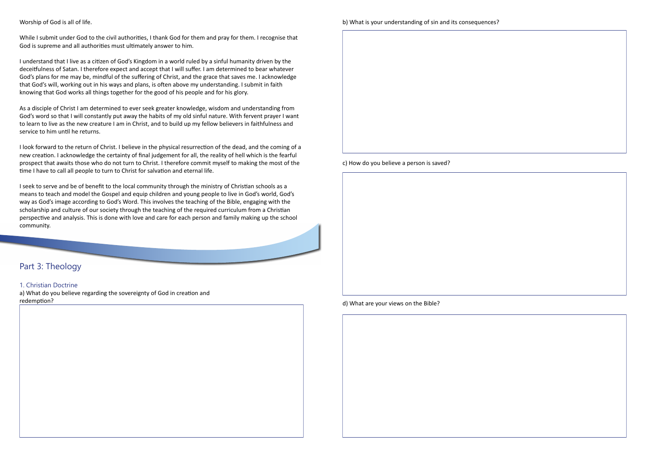#### Worship of God is all of life.

While I submit under God to the civil authorities, I thank God for them and pray for them. I recognise that God is supreme and all authorities must ultimately answer to him.

I understand that I live as a citizen of God's Kingdom in a world ruled by a sinful humanity driven by the deceitfulness of Satan. I therefore expect and accept that I will suffer. I am determined to bear whatever God's plans for me may be, mindful of the suffering of Christ, and the grace that saves me. I acknowledge that God's will, working out in his ways and plans, is often above my understanding. I submit in faith knowing that God works all things together for the good of his people and for his glory.

As a disciple of Christ I am determined to ever seek greater knowledge, wisdom and understanding from God's word so that I will constantly put away the habits of my old sinful nature. With fervent prayer I want to learn to live as the new creature I am in Christ, and to build up my fellow believers in faithfulness and service to him until he returns.

I look forward to the return of Christ. I believe in the physical resurrection of the dead, and the coming of a new creation. I acknowledge the certainty of final judgement for all, the reality of hell which is the fearful prospect that awaits those who do not turn to Christ. I therefore commit myself to making the most of the time I have to call all people to turn to Christ for salvation and eternal life.

I seek to serve and be of benefit to the local community through the ministry of Christian schools as a means to teach and model the Gospel and equip children and young people to live in God's world, God's way as God's image according to God's Word. This involves the teaching of the Bible, engaging with the scholarship and culture of our society through the teaching of the required curriculum from a Christian perspective and analysis. This is done with love and care for each person and family making up the school community.

# Part 3: Theology

### 1. Christian Doctrine

a) What do you believe regarding the sovereignty of God in creation and redemption?

c) How do you believe a person is saved?

d) What are your views on the Bible?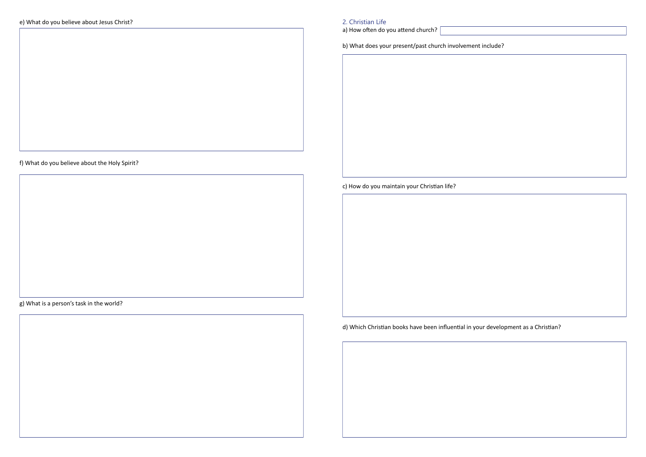f) What do you believe about the Holy Spirit?

g) What is a person's task in the world?

a) How often do you attend church?

b) What does your present/past church involvement include?

c) How do you maintain your Christian life?

# d) Which Christian books have been influential in your development as a Christian?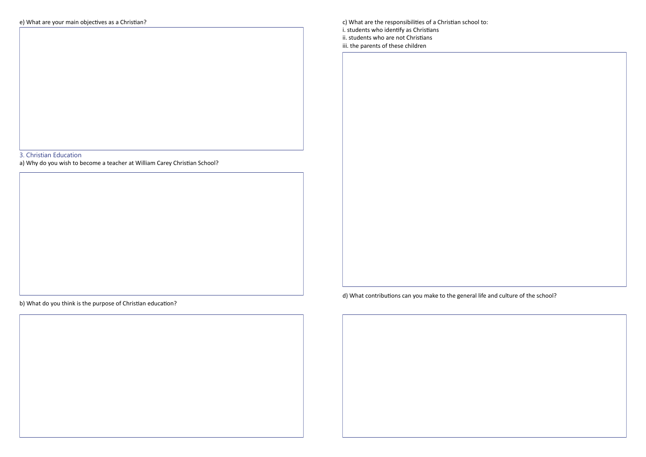# 3. Christian Education

a) Why do you wish to become a teacher at William Carey Christian School?

b) What do you think is the purpose of Christian education?

c) What are the responsibilities of a Christian school to: i. students who identify as Christians ii. students who are not Christians iii. the parents of these children

d) What contributions can you make to the general life and culture of the school?